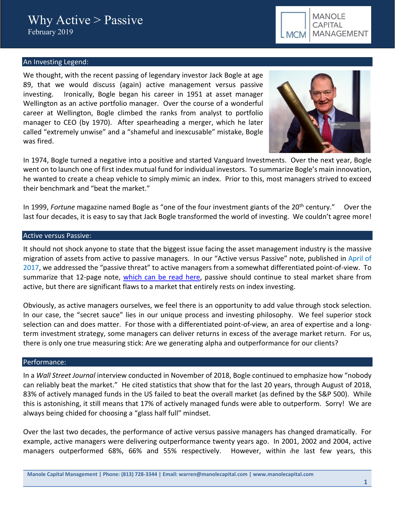

# An Investing Legend:

We thought, with the recent passing of legendary investor Jack Bogle at age 89, that we would discuss (again) active management versus passive investing. Ironically, Bogle began his career in 1951 at asset manager Wellington as an active portfolio manager. Over the course of a wonderful career at Wellington, Bogle climbed the ranks from analyst to portfolio manager to CEO (by 1970). After spearheading a merger, which he later called "extremely unwise" and a "shameful and inexcusable" mistake, Bogle was fired.



In 1974, Bogle turned a negative into a positive and started Vanguard Investments. Over the next year, Bogle went on to launch one of first index mutual fund for individual investors. To summarize Bogle's main innovation, he wanted to create a cheap vehicle to simply mimic an index. Prior to this, most managers strived to exceed their benchmark and "beat the market."

In 1999, *Fortune* magazine named Bogle as "one of the four investment giants of the 20<sup>th</sup> century." Over the last four decades, it is easy to say that Jack Bogle transformed the world of investing. We couldn't agree more!

#### Active versus Passive:

It should not shock anyone to state that the biggest issue facing the asset management industry is the massive migration of assets from active to passive managers. In our "Active versus Passive" note, published in April of 2017, we addressed the "passive threat" to active managers from a somewhat differentiated point-of-view. To summarize that 12-page note, [which can be read here,](https://seekingalpha.com/article/4064866-different-take-active-vs-passive-management-debate) passive should continue to steal market share from active, but there are significant flaws to a market that entirely rests on index investing.

Obviously, as active managers ourselves, we feel there is an opportunity to add value through stock selection. In our case, the "secret sauce" lies in our unique process and investing philosophy. We feel superior stock selection can and does matter. For those with a differentiated point-of-view, an area of expertise and a longterm investment strategy, some managers can deliver returns in excess of the average market return. For us, there is only one true measuring stick: Are we generating alpha and outperformance for our clients?

#### Performance:

In a *Wall Street Journal* interview conducted in November of 2018, Bogle continued to emphasize how "nobody can reliably beat the market." He cited statistics that show that for the last 20 years, through August of 2018, 83% of actively managed funds in the US failed to beat the overall market (as defined by the S&P 500). While this is astonishing, it still means that 17% of actively managed funds were able to outperform. Sorry! We are always being chided for choosing a "glass half full" mindset.

Over the last two decades, the performance of active versus passive managers has changed dramatically. For example, active managers were delivering outperformance twenty years ago. In 2001, 2002 and 2004, active managers outperformed 68%, 66% and 55% respectively. However, within <sup>t</sup>he last few years, this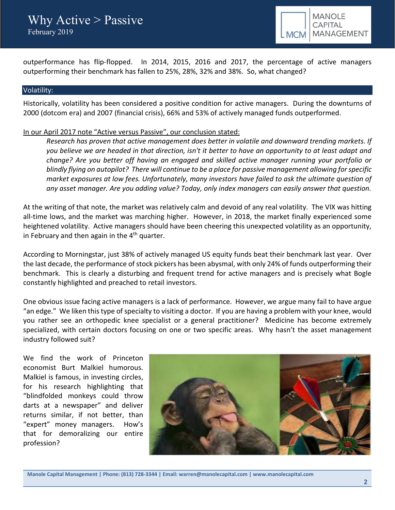outperformance has flip-flopped. In 2014, 2015, 2016 and 2017, the percentage of active managers outperforming their benchmark has fallen to 25%, 28%, 32% and 38%. So, what changed?

## Volatility:

Historically, volatility has been considered a positive condition for active managers. During the downturns of 2000 (dotcom era) and 2007 (financial crisis), 66% and 53% of actively managed funds outperformed.

# In our April 2017 note "Active versus Passive", our conclusion stated:

*Research has proven that active management does better in volatile and downward trending markets. If you believe we are headed in that direction, isn't it better to have an opportunity to at least adapt and change? Are you better off having an engaged and skilled active manager running your portfolio or blindly flying on autopilot? There will continue to be a place for passive management allowing for specific market exposures at low fees. Unfortunately, many investors have failed to ask the ultimate question of any asset manager. Are you adding value? Today, only index managers can easily answer that question.* 

At the writing of that note, the market was relatively calm and devoid of any real volatility. The VIX was hitting all-time lows, and the market was marching higher. However, in 2018, the market finally experienced some heightened volatility. Active managers should have been cheering this unexpected volatility as an opportunity, in February and then again in the  $4<sup>th</sup>$  quarter.

According to Morningstar, just 38% of actively managed US equity funds beat their benchmark last year. Over the last decade, the performance of stock pickers has been abysmal, with only 24% of funds outperforming their benchmark. This is clearly a disturbing and frequent trend for active managers and is precisely what Bogle constantly highlighted and preached to retail investors.

One obvious issue facing active managers is a lack of performance. However, we argue many fail to have argue "an edge." We liken thistype of specialty to visiting a doctor. If you are having a problem with your knee, would you rather see an orthopedic knee specialist or a general practitioner? Medicine has become extremely specialized, with certain doctors focusing on one or two specific areas. Why hasn't the asset management industry followed suit?

We find the work of Princeton economist Burt Malkiel humorous. Malkiel is famous, in investing circles, for his research highlighting that "blindfolded monkeys could throw darts at a newspaper" and deliver returns similar, if not better, than "expert" money managers. How's that for demoralizing our entire profession?



**Manole Capital Management | Phone: (813) 728-3344 | Email: warren@manolecapital.com | www.manolecapital.com**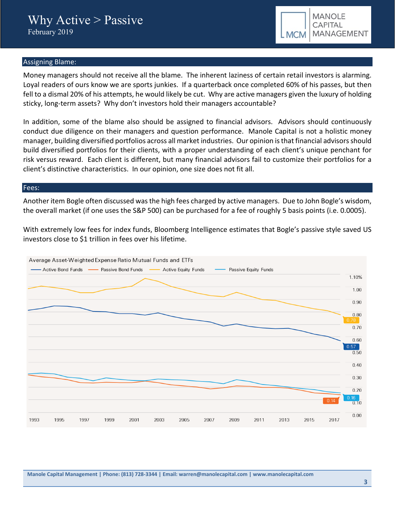

## Assigning Blame:

Money managers should not receive all the blame. The inherent laziness of certain retail investors is alarming. Loyal readers of ours know we are sports junkies. If a quarterback once completed 60% of his passes, but then fell to a dismal 20% of his attempts, he would likely be cut. Why are active managers given the luxury of holding sticky, long-term assets? Why don't investors hold their managers accountable?

In addition, some of the blame also should be assigned to financial advisors. Advisors should continuously conduct due diligence on their managers and question performance. Manole Capital is not a holistic money manager, building diversified portfolios across all market industries. Our opinion is that financial advisors should build diversified portfolios for their clients, with a proper understanding of each client's unique penchant for risk versus reward. Each client is different, but many financial advisors fail to customize their portfolios for a client's distinctive characteristics. In our opinion, one size does not fit all.

#### Fees:

Another item Bogle often discussed was the high fees charged by active managers. Due to John Bogle's wisdom, the overall market (if one uses the S&P 500) can be purchased for a fee of roughly 5 basis points (i.e. 0.0005).

With extremely low fees for index funds, Bloomberg Intelligence estimates that Bogle's passive style saved US investors close to \$1 trillion in fees over his lifetime.



**Manole Capital Management | Phone: (813) 728-3344 | Email: warren@manolecapital.com | www.manolecapital.com**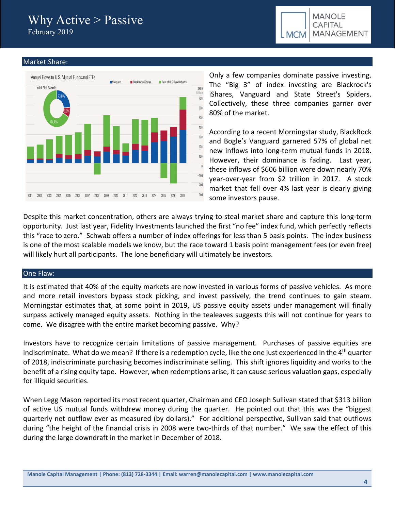# Why Active > Passive February 2019

**MANOLE** CAPITAL MANAGEMENT **MCM** 

## Market Share:



Only a few companies dominate passive investing. The "Big 3" of index investing are Blackrock's iShares, Vanguard and State Street's Spiders. Collectively, these three companies garner over 80% of the market.

According to a recent Morningstar study, BlackRock and Bogle's Vanguard garnered 57% of global net new inflows into long-term mutual funds in 2018. However, their dominance is fading. Last year, these inflows of \$606 billion were down nearly 70% year-over-year from \$2 trillion in 2017. A stock market that fell over 4% last year is clearly giving some investors pause.

Despite this market concentration, others are always trying to steal market share and capture this long-term opportunity. Just last year, Fidelity Investments launched the first "no fee" index fund, which perfectly reflects this "race to zero." Schwab offers a number of index offerings for less than 5 basis points. The index business is one of the most scalable models we know, but the race toward 1 basis point management fees (or even free) will likely hurt all participants. The lone beneficiary will ultimately be investors.

# One Flaw:

It is estimated that 40% of the equity markets are now invested in various forms of passive vehicles. As more and more retail investors bypass stock picking, and invest passively, the trend continues to gain steam. Morningstar estimates that, at some point in 2019, US passive equity assets under management will finally surpass actively managed equity assets. Nothing in the tealeaves suggests this will not continue for years to come. We disagree with the entire market becoming passive. Why?

Investors have to recognize certain limitations of passive management. Purchases of passive equities are indiscriminate. What do we mean? If there is a redemption cycle, like the one just experienced in the 4<sup>th</sup> quarter of 2018, indiscriminate purchasing becomes indiscriminate selling. This shift ignores liquidity and works to the benefit of a rising equity tape. However, when redemptions arise, it can cause serious valuation gaps, especially for illiquid securities.

When Legg Mason reported its most recent quarter, Chairman and CEO Joseph Sullivan stated that \$313 billion of active US mutual funds withdrew money during the quarter. He pointed out that this was the "biggest quarterly net outflow ever as measured (by dollars)." For additional perspective, Sullivan said that outflows during "the height of the financial crisis in 2008 were two-thirds of that number." We saw the effect of this during the large downdraft in the market in December of 2018.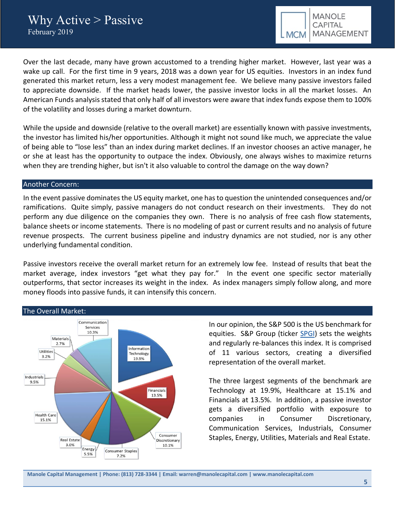Over the last decade, many have grown accustomed to a trending higher market. However, last year was a wake up call. For the first time in 9 years, 2018 was a down year for US equities. Investors in an index fund generated this market return, less a very modest management fee. We believe many passive investors failed to appreciate downside. If the market heads lower, the passive investor locks in all the market losses. An American Funds analysis stated that only half of all investors were aware that index funds expose them to 100% of the volatility and losses during a market downturn.

While the upside and downside (relative to the overall market) are essentially known with passive investments, the investor has limited his/her opportunities. Although it might not sound like much, we appreciate the value of being able to "lose less" than an index during market declines. If an investor chooses an active manager, he or she at least has the opportunity to outpace the index. Obviously, one always wishes to maximize returns when they are trending higher, but isn't it also valuable to control the damage on the way down?

## Another Concern:

In the event passive dominates the US equity market, one has to question the unintended consequences and/or ramifications. Quite simply, passive managers do not conduct research on their investments. They do not perform any due diligence on the companies they own. There is no analysis of free cash flow statements, balance sheets or income statements. There is no modeling of past or current results and no analysis of future revenue prospects. The current business pipeline and industry dynamics are not studied, nor is any other underlying fundamental condition.

Passive investors receive the overall market return for an extremely low fee. Instead of results that beat the market average, index investors "get what they pay for." In the event one specific sector materially outperforms, that sector increases its weight in the index. As index managers simply follow along, and more money floods into passive funds, it can intensify this concern.



In our opinion, the S&P 500 is the US benchmark for equities. S&P Group (ticker [SPGI\)](https://seekingalpha.com/symbol/SPGI) sets the weights and regularly re-balances this index. It is comprised of 11 various sectors, creating a diversified representation of the overall market.

The three largest segments of the benchmark are Technology at 19.9%, Healthcare at 15.1% and Financials at 13.5%. In addition, a passive investor gets a diversified portfolio with exposure to companies in Consumer Discretionary, Communication Services, Industrials, Consumer Staples, Energy, Utilities, Materials and Real Estate.

**Manole Capital Management | Phone: (813) 728-3344 | Email: warren@manolecapital.com | www.manolecapital.com**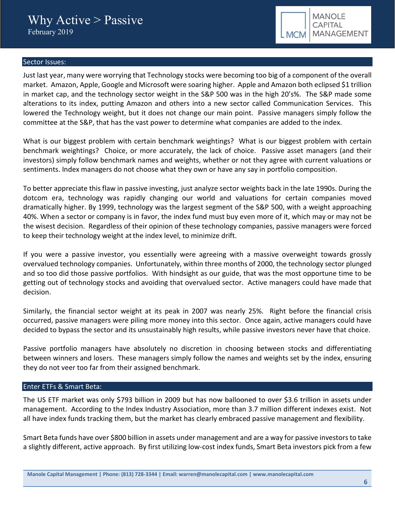

## Sector Issues:

Just last year, many were worrying that Technology stocks were becoming too big of a component of the overall market. Amazon, Apple, Google and Microsoft were soaring higher. Apple and Amazon both eclipsed \$1 trillion in market cap, and the technology sector weight in the S&P 500 was in the high 20's%. The S&P made some alterations to its index, putting Amazon and others into a new sector called Communication Services. This lowered the Technology weight, but it does not change our main point. Passive managers simply follow the committee at the S&P, that has the vast power to determine what companies are added to the index.

What is our biggest problem with certain benchmark weightings? What is our biggest problem with certain benchmark weightings? Choice, or more accurately, the lack of choice. Passive asset managers (and their investors) simply follow benchmark names and weights, whether or not they agree with current valuations or sentiments. Index managers do not choose what they own or have any say in portfolio composition.

To better appreciate this flaw in passive investing, just analyze sector weights back in the late 1990s. During the dotcom era, technology was rapidly changing our world and valuations for certain companies moved dramatically higher. By 1999, technology was the largest segment of the S&P 500, with a weight approaching 40%. When a sector or company is in favor, the index fund must buy even more of it, which may or may not be the wisest decision. Regardless of their opinion of these technology companies, passive managers were forced to keep their technology weight atthe index level, to minimize drift.

If you were a passive investor, you essentially were agreeing with a massive overweight towards grossly overvalued technology companies. Unfortunately, within three months of 2000, the technology sector plunged and so too did those passive portfolios. With hindsight as our guide, that was the most opportune time to be getting out of technology stocks and avoiding that overvalued sector. Active managers could have made that decision.

Similarly, the financial sector weight at its peak in 2007 was nearly 25%. Right before the financial crisis occurred, passive managers were piling more money into this sector. Once again, active managers could have decided to bypass the sector and its unsustainably high results, while passive investors never have that choice.

Passive portfolio managers have absolutely no discretion in choosing between stocks and differentiating between winners and losers. These managers simply follow the names and weights set by the index, ensuring they do not veer too far from their assigned benchmark.

# Enter ETFs & Smart Beta:

The US ETF market was only \$793 billion in 2009 but has now ballooned to over \$3.6 trillion in assets under management. According to the Index Industry Association, more than 3.7 million different indexes exist. Not all have index funds tracking them, but the market has clearly embraced passive management and flexibility.

Smart Beta funds have over \$800 billion in assets under management and are a way for passive investors to take a slightly different, active approach. By first utilizing low-cost index funds, Smart Beta investors pick from a few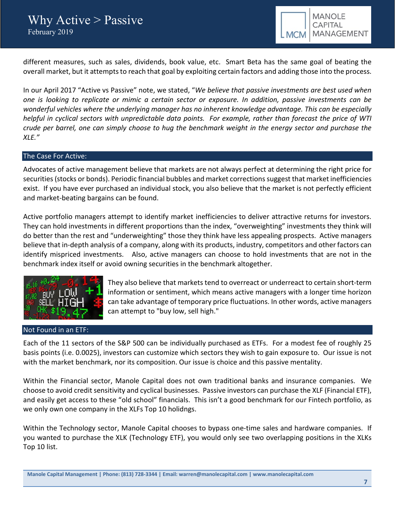

different measures, such as sales, dividends, book value, etc. Smart Beta has the same goal of beating the overall market, but it attempts to reach that goal by exploiting certain factors and adding those into the process.

In our April 2017 "Active vs Passive" note, we stated, "*We believe that passive investments are best used when one is looking to replicate or mimic a certain sector or exposure. In addition, passive investments can be wonderful vehicles where the underlying manager has no inherent knowledge advantage. This can be especially helpful in cyclical sectors with unpredictable data points. For example, rather than forecast the price of WTI crude per barrel, one can simply choose to hug the benchmark weight in the energy sector and purchase the XLE."* 

## The Case For Active:

Advocates of active management believe that markets are not always perfect at determining the right price for securities (stocks or bonds). Periodic financial bubbles and market corrections suggest that market inefficiencies exist. If you have ever purchased an individual stock, you also believe that the market is not perfectly efficient and market-beating bargains can be found.

Active portfolio managers attempt to identify market inefficiencies to deliver attractive returns for investors. They can hold investments in different proportions than the index, "overweighting" investments they think will do better than the rest and "underweighting" those they think have less appealing prospects. Active managers believe that in-depth analysis of a company, along with its products, industry, competitors and other factors can identify mispriced investments. Also, active managers can choose to hold investments that are not in the benchmark index itself or avoid owning securities in the benchmark altogether.



# Not Found in an ETF:

They also believe that markets tend to overreact or underreact to certain short-term information or sentiment, which means active managers with a longer time horizon can take advantage of temporary price fluctuations. In other words, active managers can attempt to "buy low, sell high."

Each of the 11 sectors of the S&P 500 can be individually purchased as ETFs. For a modest fee of roughly 25 basis points (i.e. 0.0025), investors can customize which sectors they wish to gain exposure to. Our issue is not with the market benchmark, nor its composition. Our issue is choice and this passive mentality.

Within the Financial sector, Manole Capital does not own traditional banks and insurance companies. We choose to avoid credit sensitivity and cyclical businesses. Passive investors can purchase the XLF (Financial ETF), and easily get access to these "old school" financials. This isn't a good benchmark for our Fintech portfolio, as we only own one company in the XLFs Top 10 holidngs.

Within the Technology sector, Manole Capital chooses to bypass one-time sales and hardware companies. If you wanted to purchase the XLK (Technology ETF), you would only see two overlapping positions in the XLKs Top 10 list.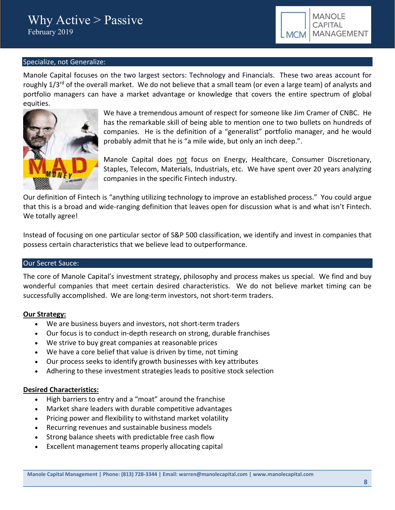

# Specialize, not Generalize:

Manole Capital focuses on the two largest sectors: Technology and Financials. These two areas account for roughly 1/3<sup>rd</sup> of the overall market. We do not believe that a small team (or even a large team) of analysts and portfolio managers can have a market advantage or knowledge that covers the entire spectrum of global equities.



We have a tremendous amount of respect for someone like Jim Cramer of CNBC. He has the remarkable skill of being able to mention one to two bullets on hundreds of companies. He is the definition of a "generalist" portfolio manager, and he would probably admit that he is "a mile wide, but only an inch deep.".

Manole Capital does not focus on Energy, Healthcare, Consumer Discretionary, Staples, Telecom, Materials, Industrials, etc. We have spent over 20 years analyzing companies in the specific Fintech industry.

Our definition of Fintech is "anything utilizing technology to improve an established process." You could argue that this is a broad and wide-ranging definition that leaves open for discussion what is and what isn't Fintech. We totally agree!

Instead of focusing on one particular sector of S&P 500 classification, we identify and invest in companies that possess certain characteristics that we believe lead to outperformance.

#### Our Secret Sauce:

The core of Manole Capital's investment strategy, philosophy and process makes us special. We find and buy wonderful companies that meet certain desired characteristics. We do not believe market timing can be successfully accomplished. We are long-term investors, not short-term traders.

#### **Our Strategy:**

- We are business buyers and investors, not short-term traders
- Our focus is to conduct in-depth research on strong, durable franchises
- We strive to buy great companies at reasonable prices
- We have a core belief that value is driven by time, not timing
- Our process seeks to identify growth businesses with key attributes
- Adhering to these investment strategies leads to positive stock selection

# **Desired Characteristics:**

- High barriers to entry and a "moat" around the franchise
- Market share leaders with durable competitive advantages
- Pricing power and flexibility to withstand market volatility
- Recurring revenues and sustainable business models
- Strong balance sheets with predictable free cash flow
- Excellent management teams properly allocating capital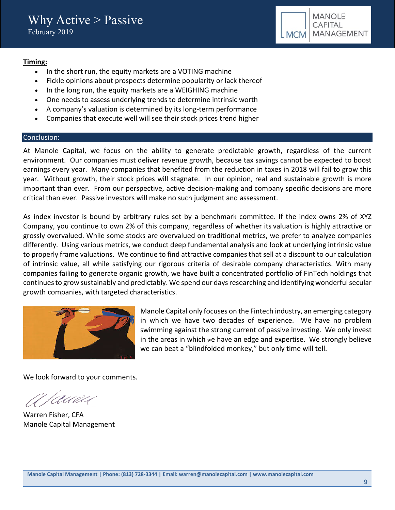

# **Timing:**

- In the short run, the equity markets are a VOTING machine
- Fickle opinions about prospects determine popularity or lack thereof
- In the long run, the equity markets are a WEIGHING machine
- One needs to assess underlying trends to determine intrinsic worth
- A company's valuation is determined by its long-term performance
- Companies that execute well will see their stock prices trend higher

## Conclusion:

At Manole Capital, we focus on the ability to generate predictable growth, regardless of the current environment. Our companies must deliver revenue growth, because tax savings cannot be expected to boost earnings every year. Many companies that benefited from the reduction in taxes in 2018 will fail to grow this year. Without growth, their stock prices will stagnate. In our opinion, real and sustainable growth is more important than ever. From our perspective, active decision-making and company specific decisions are more critical than ever. Passive investors will make no such judgment and assessment.

As index investor is bound by arbitrary rules set by a benchmark committee. If the index owns 2% of XYZ Company, you continue to own 2% of this company, regardless of whether its valuation is highly attractive or grossly overvalued. While some stocks are overvalued on traditional metrics, we prefer to analyze companies differently. Using various metrics, we conduct deep fundamental analysis and look at underlying intrinsic value to properly frame valuations. We continue to find attractive companies that sell at a discount to our calculation of intrinsic value, all while satisfying our rigorous criteria of desirable company characteristics. With many companies failing to generate organic growth, we have built a concentrated portfolio of FinTech holdings that continues to grow sustainably and predictably. We spend our days researching and identifying wonderful secular growth companies, with targeted characteristics.



Manole Capital only focuses on the Fintech industry, an emerging category in which we have two decades of experience. We have no problem swimming against the strong current of passive investing. We only invest in the areas in which we have an edge and expertise. We strongly believe we can beat a "blindfolded monkey," but only time will tell.

We look forward to your comments.

(AUU

Warren Fisher, CFA Manole Capital Management